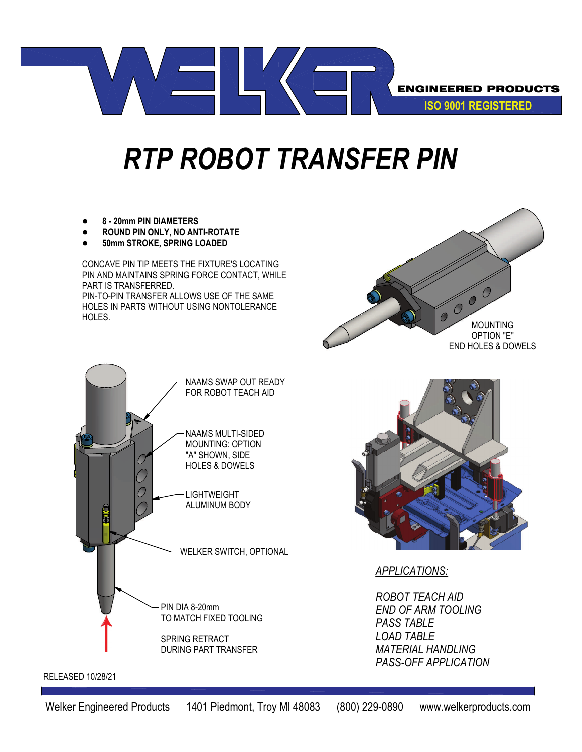

## *RTP ROBOT TRANSFER PIN*

- **• 8 20mm PIN DIAMETERS**
- **• ROUND PIN ONLY, NO ANTI-ROTATE**
- **• 50mm STROKE, SPRING LOADED**

CONCAVE PIN TIP MEETS THE FIXTURE'S LOCATING PIN AND MAINTAINS SPRING FORCE CONTACT, WHILE PART IS TRANSFERRED.

PIN-TO-PIN TRANSFER ALLOWS USE OF THE SAME HOLES IN PARTS WITHOUT USING NONTOLERANCE HOLES.







*APPLICATIONS:*

*ROBOT TEACH AID END OF ARM TOOLING PASS TABLE LOAD TABLE MATERIAL HANDLING PASS-OFF APPLICATION*

RELEASED 10/28/21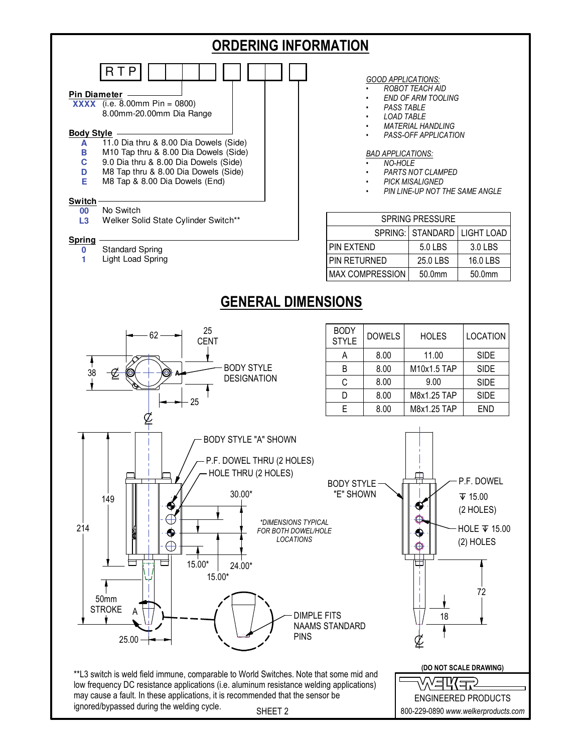